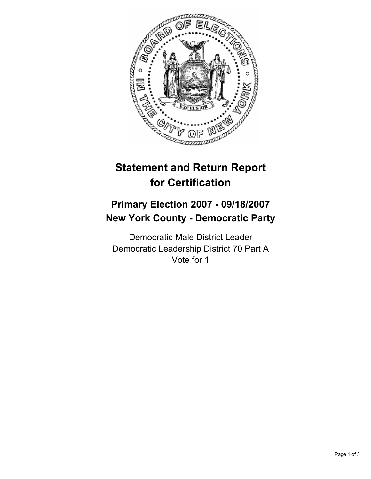

# **Statement and Return Report for Certification**

## **Primary Election 2007 - 09/18/2007 New York County - Democratic Party**

Democratic Male District Leader Democratic Leadership District 70 Part A Vote for 1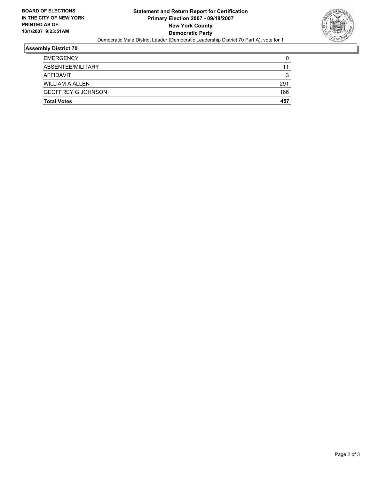

## **Assembly District 70**

| <b>Total Votes</b>        | 457 |
|---------------------------|-----|
| <b>GEOFFREY G JOHNSON</b> | 166 |
| <b>WILLIAM A ALLEN</b>    | 291 |
| AFFIDAVIT                 | w   |
| ABSENTEE/MILITARY         | 11  |
| <b>EMERGENCY</b>          |     |